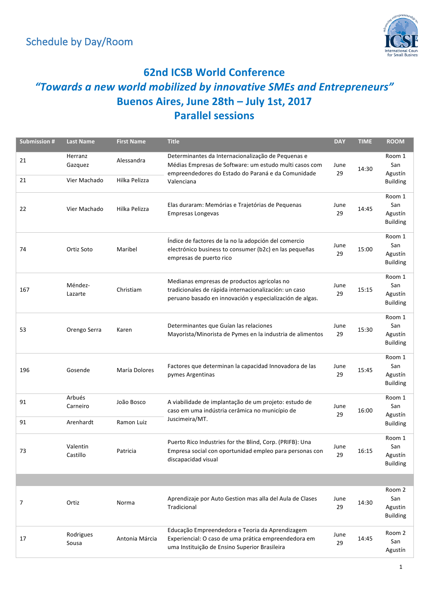

#### **62nd ICSB World Conference** *"Towards a new world mobilized by innovative SMEs and Entrepreneurs"* **Buenos Aires, June 28th – July 1st, 2017 Parallel sessions**

| <b>Submission #</b> | <b>Last Name</b>                   | <b>First Name</b>           | <b>Title</b>                                                                                                                                                                     | <b>DAY</b> | <b>TIME</b> | <b>ROOM</b>                                 |
|---------------------|------------------------------------|-----------------------------|----------------------------------------------------------------------------------------------------------------------------------------------------------------------------------|------------|-------------|---------------------------------------------|
| 21<br>21            | Herranz<br>Gazquez<br>Vier Machado | Alessandra<br>Hilka Pelizza | Determinantes da Internacionalização de Pequenas e<br>Médias Empresas de Software: um estudo multi casos com<br>empreendedores do Estado do Paraná e da Comunidade<br>Valenciana | June<br>29 | 14:30       | Room 1<br>San<br>Agustín<br><b>Building</b> |
|                     |                                    |                             |                                                                                                                                                                                  |            |             |                                             |
| 22                  | Vier Machado                       | Hilka Pelizza               | Elas duraram: Memórias e Trajetórias de Pequenas<br><b>Empresas Longevas</b>                                                                                                     | June<br>29 | 14:45       | Room 1<br>San<br>Agustín<br><b>Building</b> |
| 74                  | Ortiz Soto                         | Maribel                     | Índice de factores de la no la adopción del comercio<br>electrónico business to consumer (b2c) en las pequeñas<br>empresas de puerto rico                                        | June<br>29 | 15:00       | Room 1<br>San<br>Agustín<br><b>Building</b> |
| 167                 | Méndez-<br>Lazarte                 | Christiam                   | Medianas empresas de productos agrícolas no<br>tradicionales de rápida internacionalización: un caso<br>peruano basado en innovación y especialización de algas.                 | June<br>29 | 15:15       | Room 1<br>San<br>Agustín<br><b>Building</b> |
| 53                  | Orengo Serra                       | Karen                       | Determinantes que Guían las relaciones<br>Mayorista/Minorista de Pymes en la industria de alimentos                                                                              | June<br>29 | 15:30       | Room 1<br>San<br>Agustín<br><b>Building</b> |
| 196                 | Gosende                            | María Dolores               | Factores que determinan la capacidad Innovadora de las<br>pymes Argentinas                                                                                                       | June<br>29 | 15:45       | Room 1<br>San<br>Agustín<br><b>Building</b> |
| 91                  | Arbués<br>Carneiro                 | João Bosco                  | A viabilidade de implantação de um projeto: estudo de<br>caso em uma indústria cerâmica no município de                                                                          | June<br>29 | 16:00       | Room 1<br>San<br>Agustín                    |
| 91                  | Arenhardt                          | Ramon Luiz                  | Juscimeira/MT.                                                                                                                                                                   |            |             | <b>Building</b>                             |
| 73                  | Valentin<br>Castillo               | Patricia                    | Puerto Rico Industries for the Blind, Corp. (PRIFB): Una<br>Empresa social con oportunidad empleo para personas con<br>discapacidad visual                                       | June<br>29 | 16:15       | Room 1<br>San<br>Agustín<br><b>Building</b> |
|                     |                                    |                             |                                                                                                                                                                                  |            |             |                                             |
| 7                   | Ortiz                              | Norma                       | Aprendizaje por Auto Gestion mas alla del Aula de Clases<br>Tradicional                                                                                                          | June<br>29 | 14:30       | Room 2<br>San<br>Agustin<br><b>Building</b> |
| 17                  | Rodrigues<br>Sousa                 | Antonia Márcia              | Educação Empreendedora e Teoria da Aprendizagem<br>Experiencial: O caso de uma prática empreendedora em<br>uma Instituição de Ensino Superior Brasileira                         | June<br>29 | 14:45       | Room 2<br>San<br>Agustín                    |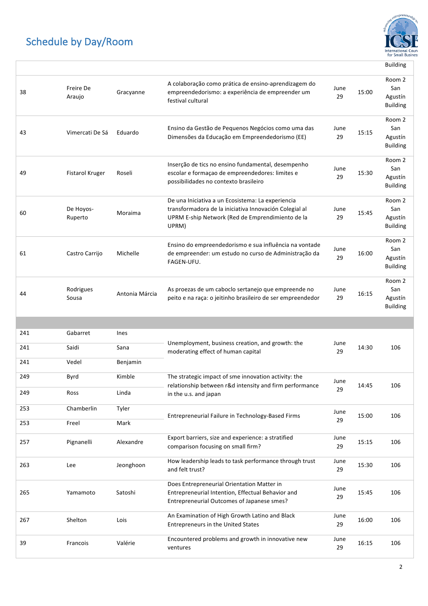

|     |                        |                |                                                                                                                                                                          |            |       | <b>Building</b>                             |
|-----|------------------------|----------------|--------------------------------------------------------------------------------------------------------------------------------------------------------------------------|------------|-------|---------------------------------------------|
| 38  | Freire De<br>Araujo    | Gracyanne      | A colaboração como prática de ensino-aprendizagem do<br>empreendedorismo: a experiência de empreender um<br>festival cultural                                            | June<br>29 | 15:00 | Room 2<br>San<br>Agustín<br><b>Building</b> |
| 43  | Vimercati De Sá        | Eduardo        | Ensino da Gestão de Pequenos Negócios como uma das<br>Dimensões da Educação em Empreendedorismo (EE)                                                                     | June<br>29 | 15:15 | Room 2<br>San<br>Agustín<br><b>Building</b> |
| 49  | <b>Fistarol Kruger</b> | Roseli         | Inserção de tics no ensino fundamental, desempenho<br>escolar e formação de empreendedores: limites e<br>possibilidades no contexto brasileiro                           | June<br>29 | 15:30 | Room 2<br>San<br>Agustín<br><b>Building</b> |
| 60  | De Hoyos-<br>Ruperto   | Moraima        | De una Iniciativa a un Ecosistema: La experiencia<br>transformadora de la iniciativa Innovación Colegial al<br>UPRM E-ship Network (Red de Emprendimiento de la<br>UPRM) | June<br>29 | 15:45 | Room 2<br>San<br>Agustín<br><b>Building</b> |
| 61  | Castro Carrijo         | Michelle       | Ensino do empreendedorismo e sua influência na vontade<br>de empreender: um estudo no curso de Administração da<br>FAGEN-UFU.                                            | June<br>29 | 16:00 | Room 2<br>San<br>Agustín<br><b>Building</b> |
| 44  | Rodrigues<br>Sousa     | Antonia Márcia | As proezas de um caboclo sertanejo que empreende no<br>peito e na raça: o jeitinho brasileiro de ser empreendedor                                                        | June<br>29 | 16:15 | Room 2<br>San<br>Agustín<br><b>Building</b> |
|     |                        |                |                                                                                                                                                                          |            |       |                                             |
|     |                        |                |                                                                                                                                                                          |            |       |                                             |
| 241 | Gabarret               | Ines           |                                                                                                                                                                          |            |       |                                             |
| 241 | Saidi                  | Sana           | Unemployment, business creation, and growth: the<br>moderating effect of human capital                                                                                   | June<br>29 | 14:30 | 106                                         |
| 241 | Vedel                  | Benjamin       |                                                                                                                                                                          |            |       |                                             |
| 249 | Byrd                   | Kimble         | The strategic impact of sme innovation activity: the                                                                                                                     | June       |       |                                             |
| 249 | Ross                   | Linda          | relationship between r&d intensity and firm performance<br>in the u.s. and japan                                                                                         | 29         | 14:45 | 106                                         |
| 253 | Chamberlin             | Tyler          |                                                                                                                                                                          |            |       |                                             |
| 253 | Freel                  | Mark           | Entrepreneurial Failure in Technology-Based Firms                                                                                                                        | June<br>29 | 15:00 | 106                                         |
| 257 | Pignanelli             | Alexandre      | Export barriers, size and experience: a stratified<br>comparison focusing on small firm?                                                                                 | June<br>29 | 15:15 | 106                                         |
| 263 | Lee                    | Jeonghoon      | How leadership leads to task performance through trust<br>and felt trust?                                                                                                | June<br>29 | 15:30 | 106                                         |
| 265 | Yamamoto               | Satoshi        | Does Entrepreneurial Orientation Matter in<br>Entrepreneurial Intention, Effectual Behavior and<br>Entrepreneurial Outcomes of Japanese smes?                            | June<br>29 | 15:45 | 106                                         |
| 267 | Shelton                | Lois           | An Examination of High Growth Latino and Black<br><b>Entrepreneurs in the United States</b>                                                                              | June<br>29 | 16:00 | 106                                         |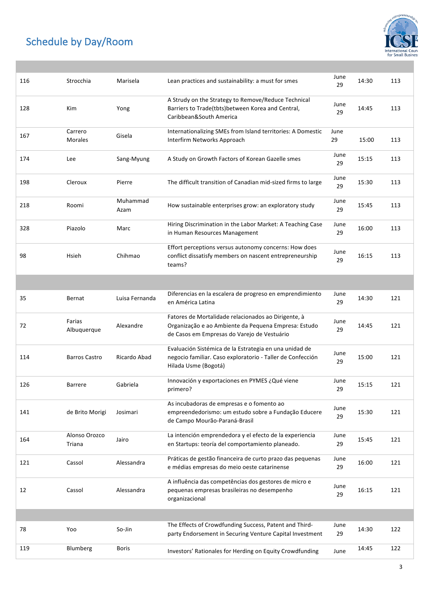

| 116 | Strocchia                 | Marisela         | Lean practices and sustainability: a must for smes                                                                                                         | June<br>29 | 14:30 | 113 |
|-----|---------------------------|------------------|------------------------------------------------------------------------------------------------------------------------------------------------------------|------------|-------|-----|
| 128 | Kim                       | Yong             | A Strudy on the Strategy to Remove/Reduce Technical<br>Barriers to Trade(tbts)between Korea and Central,<br>Caribbean&South America                        | June<br>29 | 14:45 | 113 |
| 167 | Carrero<br><b>Morales</b> | Gisela           | Internationalizing SMEs from Island territories: A Domestic<br>Interfirm Networks Approach                                                                 | June<br>29 | 15:00 | 113 |
| 174 | Lee                       | Sang-Myung       | A Study on Growth Factors of Korean Gazelle smes                                                                                                           | June<br>29 | 15:15 | 113 |
| 198 | Cleroux                   | Pierre           | The difficult transition of Canadian mid-sized firms to large                                                                                              | June<br>29 | 15:30 | 113 |
| 218 | Roomi                     | Muhammad<br>Azam | How sustainable enterprises grow: an exploratory study                                                                                                     | June<br>29 | 15:45 | 113 |
| 328 | Piazolo                   | Marc             | Hiring Discrimination in the Labor Market: A Teaching Case<br>in Human Resources Management                                                                | June<br>29 | 16:00 | 113 |
| 98  | Hsieh                     | Chihmao          | Effort perceptions versus autonomy concerns: How does<br>conflict dissatisfy members on nascent entrepreneurship<br>teams?                                 | June<br>29 | 16:15 | 113 |
|     |                           |                  |                                                                                                                                                            |            |       |     |
| 35  | Bernat                    | Luisa Fernanda   | Diferencias en la escalera de progreso en emprendimiento<br>en América Latina                                                                              | June<br>29 | 14:30 | 121 |
| 72  | Farias<br>Albuquerque     | Alexandre        | Fatores de Mortalidade relacionados ao Dirigente, à<br>Organização e ao Ambiente da Pequena Empresa: Estudo<br>de Casos em Empresas do Varejo de Vestuário | June<br>29 | 14:45 | 121 |
| 114 | <b>Barros Castro</b>      | Ricardo Abad     | Evaluación Sistémica de la Estrategia en una unidad de<br>negocio familiar. Caso exploratorio - Taller de Confección<br>Hilada Usme (Bogotá)               | June<br>29 | 15:00 | 121 |
| 126 | <b>Barrere</b>            | Gabriela         | Innovación y exportaciones en PYMES ¿Qué viene<br>primero?                                                                                                 | June<br>29 | 15:15 | 121 |
| 141 | de Brito Morigi           | Josimari         | As incubadoras de empresas e o fomento ao<br>empreendedorismo: um estudo sobre a Fundação Educere<br>de Campo Mourão-Paraná-Brasil                         | June<br>29 | 15:30 | 121 |
| 164 | Alonso Orozco<br>Triana   | Jairo            | La intención emprendedora y el efecto de la experiencia<br>en Startups: teoría del comportamiento planeado.                                                | June<br>29 | 15:45 | 121 |
| 121 | Cassol                    | Alessandra       | Práticas de gestão financeira de curto prazo das pequenas<br>e médias empresas do meio oeste catarinense                                                   | June<br>29 | 16:00 | 121 |
| 12  | Cassol                    | Alessandra       | A influência das competências dos gestores de micro e<br>pequenas empresas brasileiras no desempenho<br>organizacional                                     | June<br>29 | 16:15 | 121 |
|     |                           |                  |                                                                                                                                                            |            |       |     |
| 78  | Yoo                       | So-Jin           | The Effects of Crowdfunding Success, Patent and Third-<br>party Endorsement in Securing Venture Capital Investment                                         | June<br>29 | 14:30 | 122 |
| 119 | Blumberg                  | <b>Boris</b>     | Investors' Rationales for Herding on Equity Crowdfunding                                                                                                   | June       | 14:45 | 122 |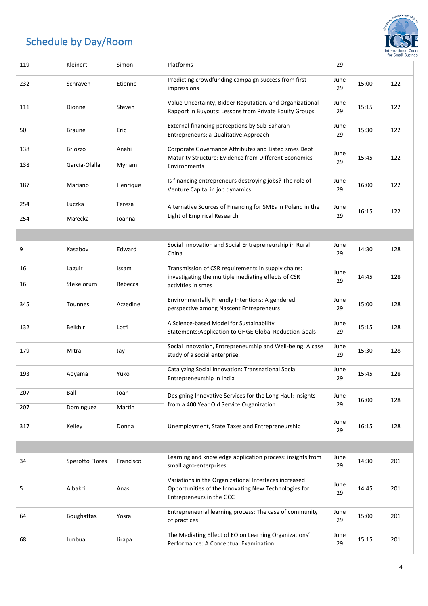

| 119 | Kleinert               | Simon     | Platforms                                                                                                                                 | 29         |       |     |
|-----|------------------------|-----------|-------------------------------------------------------------------------------------------------------------------------------------------|------------|-------|-----|
| 232 | Schraven               | Etienne   | Predicting crowdfunding campaign success from first<br>impressions                                                                        | June<br>29 | 15:00 | 122 |
| 111 | Dionne                 | Steven    | Value Uncertainty, Bidder Reputation, and Organizational<br>Rapport in Buyouts: Lessons from Private Equity Groups                        | June<br>29 | 15:15 | 122 |
| 50  | <b>Braune</b>          | Eric      | External financing perceptions by Sub-Saharan<br>Entrepreneurs: a Qualitative Approach                                                    | June<br>29 | 15:30 | 122 |
| 138 | <b>Briozzo</b>         | Anahi     | Corporate Governance Attributes and Listed smes Debt<br>Maturity Structure: Evidence from Different Economics                             | June<br>29 | 15:45 | 122 |
| 138 | García-Olalla          | Myriam    | Environments                                                                                                                              |            |       |     |
| 187 | Mariano                | Henrique  | Is financing entrepreneurs destroying jobs? The role of<br>Venture Capital in job dynamics.                                               | June<br>29 | 16:00 | 122 |
| 254 | Luczka                 | Teresa    | Alternative Sources of Financing for SMEs in Poland in the                                                                                | June<br>29 | 16:15 | 122 |
| 254 | Małecka                | Joanna    | Light of Empirical Research                                                                                                               |            |       |     |
|     |                        |           |                                                                                                                                           |            |       |     |
| 9   | Kasabov                | Edward    | Social Innovation and Social Entrepreneurship in Rural<br>China                                                                           | June<br>29 | 14:30 | 128 |
| 16  | Laguir                 | Issam     | Transmission of CSR requirements in supply chains:<br>investigating the multiple mediating effects of CSR                                 | June       | 14:45 | 128 |
| 16  | Stekelorum             | Rebecca   | activities in smes                                                                                                                        | 29         |       |     |
| 345 | Tounnes                | Azzedine  | Environmentally Friendly Intentions: A gendered<br>perspective among Nascent Entrepreneurs                                                | June<br>29 | 15:00 | 128 |
| 132 | <b>Belkhir</b>         | Lotfi     | A Science-based Model for Sustainability<br><b>Statements: Application to GHGE Global Reduction Goals</b>                                 | June<br>29 | 15:15 | 128 |
| 179 | Mitra                  | Jay       | Social Innovation, Entrepreneurship and Well-being: A case<br>study of a social enterprise.                                               | June<br>29 | 15:30 | 128 |
| 193 | Aoyama                 | Yuko      | Catalyzing Social Innovation: Transnational Social<br>Entrepreneurship in India                                                           | June<br>29 | 15:45 | 128 |
| 207 | Ball                   | Joan      | Designing Innovative Services for the Long Haul: Insights                                                                                 | June       | 16:00 | 128 |
| 207 | Dominguez              | Martín    | from a 400 Year Old Service Organization                                                                                                  | 29         |       |     |
| 317 | Kelley                 | Donna     | Unemployment, State Taxes and Entrepreneurship                                                                                            | June<br>29 | 16:15 | 128 |
|     |                        |           |                                                                                                                                           |            |       |     |
| 34  | <b>Sperotto Flores</b> | Francisco | Learning and knowledge application process: insights from<br>small agro-enterprises                                                       | June<br>29 | 14:30 | 201 |
| 5   | Albakri                | Anas      | Variations in the Organizational Interfaces increased<br>Opportunities of the Innovating New Technologies for<br>Entrepreneurs in the GCC | June<br>29 | 14:45 | 201 |
| 64  | <b>Boughattas</b>      | Yosra     | Entrepreneurial learning process: The case of community<br>of practices                                                                   | June<br>29 | 15:00 | 201 |
| 68  | Junbua                 | Jirapa    | The Mediating Effect of EO on Learning Organizations'<br>Performance: A Conceptual Examination                                            | June<br>29 | 15:15 | 201 |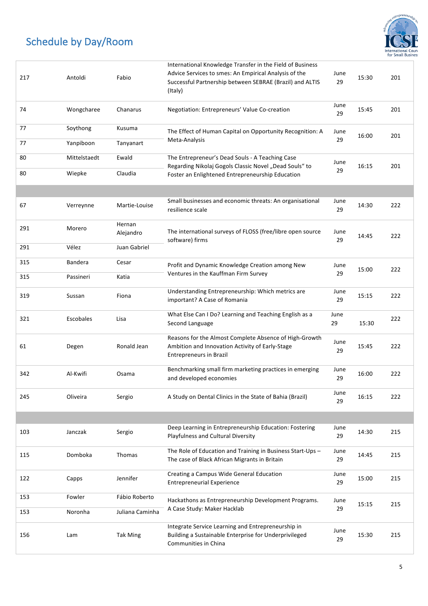

| 217 | Antoldi        | Fabio               | International Knowledge Transfer in the Field of Business<br>Advice Services to smes: An Empirical Analysis of the<br>Successful Partnership between SEBRAE (Brazil) and ALTIS<br>(Italy) | June<br>29 | 15:30 | 201 |
|-----|----------------|---------------------|-------------------------------------------------------------------------------------------------------------------------------------------------------------------------------------------|------------|-------|-----|
| 74  | Wongcharee     | Chanarus            | Negotiation: Entrepreneurs' Value Co-creation                                                                                                                                             | June<br>29 | 15:45 | 201 |
| 77  | Soythong       | Kusuma              | The Effect of Human Capital on Opportunity Recognition: A                                                                                                                                 | June       | 16:00 | 201 |
| 77  | Yanpiboon      | Tanyanart           | Meta-Analysis                                                                                                                                                                             | 29         |       |     |
| 80  | Mittelstaedt   | Ewald               | The Entrepreneur's Dead Souls - A Teaching Case<br>Regarding Nikolaj Gogols Classic Novel "Dead Souls" to                                                                                 | June       | 16:15 | 201 |
| 80  | Wiepke         | Claudia             | Foster an Enlightened Entrepreneurship Education                                                                                                                                          | 29         |       |     |
|     |                |                     |                                                                                                                                                                                           |            |       |     |
| 67  | Verreynne      | Martie-Louise       | Small businesses and economic threats: An organisational<br>resilience scale                                                                                                              | June<br>29 | 14:30 | 222 |
| 291 | Morero         | Hernan<br>Alejandro | The international surveys of FLOSS (free/libre open source<br>software) firms                                                                                                             | June<br>29 | 14:45 | 222 |
| 291 | Vélez          | Juan Gabriel        |                                                                                                                                                                                           |            |       |     |
| 315 | <b>Bandera</b> | Cesar               | Profit and Dynamic Knowledge Creation among New                                                                                                                                           | June       | 15:00 | 222 |
| 315 | Passineri      | Katia               | Ventures in the Kauffman Firm Survey                                                                                                                                                      | 29         |       |     |
| 319 | Sussan         | Fiona               | Understanding Entrepreneurship: Which metrics are<br>important? A Case of Romania                                                                                                         | June<br>29 | 15:15 | 222 |
| 321 | Escobales      | Lisa                | What Else Can I Do? Learning and Teaching English as a<br>Second Language                                                                                                                 | June<br>29 | 15:30 | 222 |
| 61  | Degen          | Ronald Jean         | Reasons for the Almost Complete Absence of High-Growth<br>Ambition and Innovation Activity of Early-Stage<br><b>Entrepreneurs in Brazil</b>                                               | June<br>29 | 15:45 | 222 |
| 342 | Al-Kwifi       | Osama               | Benchmarking small firm marketing practices in emerging<br>and developed economies                                                                                                        | June<br>29 | 16:00 | 222 |
| 245 | Oliveira       | Sergio              | A Study on Dental Clinics in the State of Bahia (Brazil)                                                                                                                                  | June<br>29 | 16:15 | 222 |
|     |                |                     |                                                                                                                                                                                           |            |       |     |
| 103 | Janczak        | Sergio              | Deep Learning in Entrepreneurship Education: Fostering<br>Playfulness and Cultural Diversity                                                                                              | June<br>29 | 14:30 | 215 |
| 115 | Domboka        | Thomas              | The Role of Education and Training in Business Start-Ups -<br>The case of Black African Migrants in Britain                                                                               | June<br>29 | 14:45 | 215 |
| 122 | Capps          | Jennifer            | Creating a Campus Wide General Education<br><b>Entrepreneurial Experience</b>                                                                                                             | June<br>29 | 15:00 | 215 |
| 153 | Fowler         | Fábio Roberto       | Hackathons as Entrepreneurship Development Programs.                                                                                                                                      | June       | 15:15 | 215 |
| 153 | Noronha        | Juliana Caminha     | A Case Study: Maker Hacklab                                                                                                                                                               | 29         |       |     |
| 156 | Lam            | <b>Tak Ming</b>     | Integrate Service Learning and Entrepreneurship in<br>Building a Sustainable Enterprise for Underprivileged<br>Communities in China                                                       | June<br>29 | 15:30 | 215 |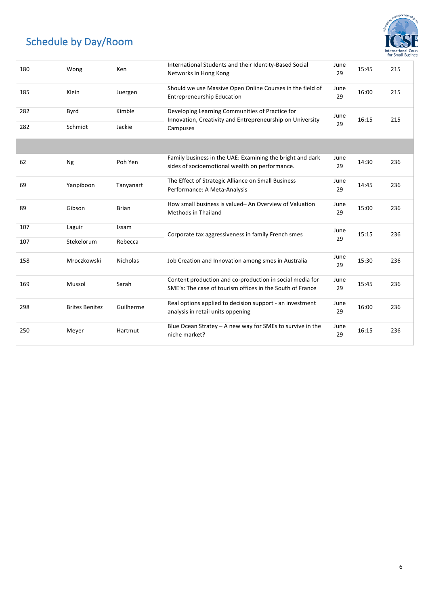

| 180 | Wong                  | Ken          | International Students and their Identity-Based Social<br>Networks in Hong Kong                              | June<br>29 | 15:45 | 215 |
|-----|-----------------------|--------------|--------------------------------------------------------------------------------------------------------------|------------|-------|-----|
| 185 | Klein                 | Juergen      | Should we use Massive Open Online Courses in the field of<br><b>Entrepreneurship Education</b>               | June<br>29 | 16:00 | 215 |
| 282 | Byrd                  | Kimble       | Developing Learning Communities of Practice for<br>Innovation, Creativity and Entrepreneurship on University | June       | 16:15 | 215 |
| 282 | Schmidt               | Jackie       | Campuses                                                                                                     | 29         |       |     |
|     |                       |              |                                                                                                              |            |       |     |
| 62  | Ng                    | Poh Yen      | Family business in the UAE: Examining the bright and dark<br>sides of socioemotional wealth on performance.  | June<br>29 | 14:30 | 236 |
|     |                       |              | The Effect of Strategic Alliance on Small Business                                                           | June       |       |     |
| 69  | Yanpiboon             | Tanyanart    | Performance: A Meta-Analysis                                                                                 | 29         | 14:45 | 236 |
| 89  | Gibson                | <b>Brian</b> | How small business is valued-An Overview of Valuation<br><b>Methods in Thailand</b>                          | June<br>29 | 15:00 | 236 |
|     |                       |              |                                                                                                              |            |       |     |
| 107 | Laguir                | Issam        | Corporate tax aggressiveness in family French smes                                                           | June<br>29 | 15:15 | 236 |
| 107 | Stekelorum            | Rebecca      |                                                                                                              |            |       |     |
| 158 | Mroczkowski           | Nicholas     | Job Creation and Innovation among smes in Australia                                                          | June<br>29 | 15:30 | 236 |
|     |                       |              | Content production and co-production in social media for                                                     | June       |       |     |
| 169 | Mussol                | Sarah        | SME's: The case of tourism offices in the South of France                                                    | 29         | 15:45 | 236 |
| 298 | <b>Brites Benitez</b> | Guilherme    | Real options applied to decision support - an investment                                                     | June       | 16:00 | 236 |
|     |                       |              | analysis in retail units oppening                                                                            | 29         |       |     |
| 250 | Meyer                 | Hartmut      | Blue Ocean Stratey $-$ A new way for SMEs to survive in the<br>niche market?                                 | June<br>29 | 16:15 | 236 |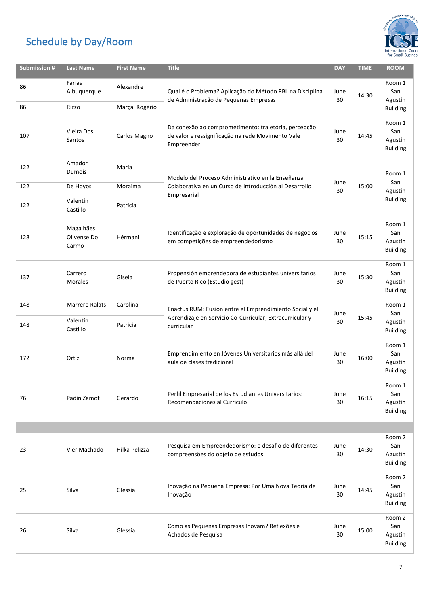

| <b>Submission #</b> | <b>Last Name</b>                       | <b>First Name</b>           | <b>Title</b>                                                                                                                      | <b>DAY</b> | <b>TIME</b> | <b>ROOM</b>                                 |
|---------------------|----------------------------------------|-----------------------------|-----------------------------------------------------------------------------------------------------------------------------------|------------|-------------|---------------------------------------------|
| 86<br>86            | Farias<br>Albuquerque<br>Rizzo         | Alexandre<br>Marçal Rogério | Qual é o Problema? Aplicação do Método PBL na Disciplina<br>de Administração de Pequenas Empresas                                 | June<br>30 | 14:30       | Room 1<br>San<br>Agustín<br><b>Building</b> |
| 107                 | Vieira Dos<br>Santos                   | Carlos Magno                | Da conexão ao comprometimento: trajetória, percepção<br>de valor e ressignificação na rede Movimento Vale<br>Empreender           | June<br>30 | 14:45       | Room 1<br>San<br>Agustín<br><b>Building</b> |
| 122                 | Amador<br>Dumois                       | Maria                       | Modelo del Proceso Administrativo en la Enseñanza                                                                                 |            |             | Room 1                                      |
| 122                 | De Hoyos                               | Moraima                     | Colaborativa en un Curso de Introducción al Desarrollo                                                                            | June<br>30 | 15:00       | San<br>Agustín                              |
| 122                 | Valentín<br>Castillo                   | Patricia                    | Empresarial                                                                                                                       |            |             | <b>Building</b>                             |
| 128                 | Magalhães<br>Olivense Do<br>Carmo      | Hérmani                     | Identificação e exploração de oportunidades de negócios<br>em competições de empreendedorismo                                     | June<br>30 | 15:15       | Room 1<br>San<br>Agustín<br><b>Building</b> |
| 137                 | Carrero<br><b>Morales</b>              | Gisela                      | Propensión emprendedora de estudiantes universitarios<br>de Puerto Rico (Estudio gest)                                            | June<br>30 | 15:30       | Room 1<br>San<br>Agustín<br><b>Building</b> |
| 148<br>148          | Marrero Ralats<br>Valentin<br>Castillo | Carolina<br>Patricia        | Enactus RUM: Fusión entre el Emprendimiento Social y el<br>Aprendizaje en Servicio Co-Curricular, Extracurricular y<br>curricular | June<br>30 | 15:45       | Room 1<br>San<br>Agustín<br><b>Building</b> |
| 172                 | Ortiz                                  | Norma                       | Emprendimiento en Jóvenes Universitarios más allá del<br>aula de clases tradicional                                               | June<br>30 | 16:00       | Room 1<br>San<br>Agustín<br><b>Building</b> |
| 76                  | Padin Zamot                            | Gerardo                     | Perfil Empresarial de los Estudiantes Universitarios:<br>Recomendaciones al Currículo                                             | June<br>30 | 16:15       | Room 1<br>San<br>Agustín<br><b>Building</b> |
|                     |                                        |                             |                                                                                                                                   |            |             |                                             |
| 23                  | Vier Machado                           | Hilka Pelizza               | Pesquisa em Empreendedorismo: o desafio de diferentes<br>compreensões do objeto de estudos                                        | June<br>30 | 14:30       | Room 2<br>San<br>Agustín<br><b>Building</b> |
| 25                  | Silva                                  | Glessia                     | Inovação na Pequena Empresa: Por Uma Nova Teoria de<br>Inovação                                                                   | June<br>30 | 14:45       | Room 2<br>San<br>Agustín<br><b>Building</b> |
| 26                  | Silva                                  | Glessia                     | Como as Pequenas Empresas Inovam? Reflexões e<br>Achados de Pesquisa                                                              | June<br>30 | 15:00       | Room 2<br>San<br>Agustín<br><b>Building</b> |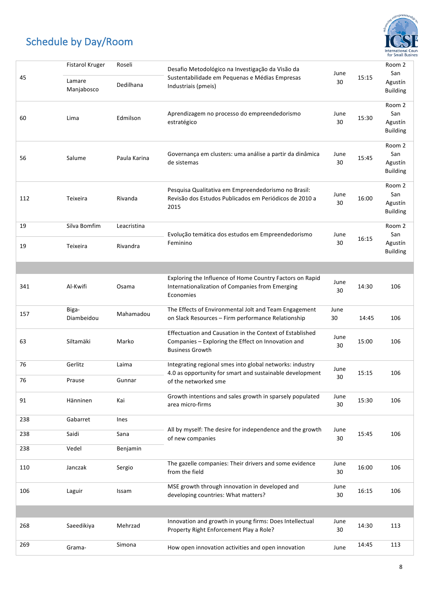

|          | Fistarol Kruger          | Roseli                  | Desafio Metodológico na Investigação da Visão da                                                                                         |            |       | Room 2                                      |
|----------|--------------------------|-------------------------|------------------------------------------------------------------------------------------------------------------------------------------|------------|-------|---------------------------------------------|
| 45       | Lamare<br>Manjabosco     | Dedilhana               | Sustentabilidade em Pequenas e Médias Empresas<br>Industriais (pmeis)                                                                    | June<br>30 | 15:15 | San<br>Agustín<br><b>Building</b>           |
| 60       | Lima                     | Edmilson                | Aprendizagem no processo do empreendedorismo<br>estratégico                                                                              | June<br>30 | 15:30 | Room 2<br>San<br>Agustín<br><b>Building</b> |
| 56       | Salume                   | Paula Karina            | Governança em clusters: uma análise a partir da dinâmica<br>de sistemas                                                                  | June<br>30 | 15:45 | Room 2<br>San<br>Agustín<br><b>Building</b> |
| 112      | Teixeira                 | Rivanda                 | Pesquisa Qualitativa em Empreendedorismo no Brasil:<br>Revisão dos Estudos Publicados em Periódicos de 2010 a<br>2015                    | June<br>30 | 16:00 | Room 2<br>San<br>Agustín<br><b>Building</b> |
| 19<br>19 | Silva Bomfim<br>Teixeira | Leacristina<br>Rivandra | Evolução temática dos estudos em Empreendedorismo<br>Feminino                                                                            | June<br>30 | 16:15 | Room 2<br>San<br>Agustín<br><b>Building</b> |
|          |                          |                         |                                                                                                                                          |            |       |                                             |
| 341      | Al-Kwifi                 | Osama                   | Exploring the Influence of Home Country Factors on Rapid<br>Internationalization of Companies from Emerging<br>Economies                 | June<br>30 | 14:30 | 106                                         |
| 157      | Biga-<br>Diambeidou      | Mahamadou               | The Effects of Environmental Jolt and Team Engagement<br>on Slack Resources - Firm performance Relationship                              | June<br>30 | 14:45 | 106                                         |
| 63       | Siltamäki                | Marko                   | Effectuation and Causation in the Context of Established<br>Companies - Exploring the Effect on Innovation and<br><b>Business Growth</b> | June<br>30 | 15:00 | 106                                         |
| 76       | Gerlitz                  | Laima                   | Integrating regional smes into global networks: industry                                                                                 | June       |       |                                             |
| 76       | Prause                   | Gunnar                  | 4.0 as opportunity for smart and sustainable development<br>of the networked sme                                                         | 30         | 15:15 | 106                                         |
| 91       | Hänninen                 | Kai                     | Growth intentions and sales growth in sparsely populated<br>area micro-firms                                                             | June<br>30 | 15:30 | 106                                         |
| 238      | Gabarret                 | Ines                    |                                                                                                                                          |            |       |                                             |
| 238      | Saidi                    | Sana                    | All by myself: The desire for independence and the growth<br>of new companies                                                            | June<br>30 | 15:45 | 106                                         |
| 238      | Vedel                    | Benjamin                |                                                                                                                                          |            |       |                                             |
| 110      | Janczak                  | Sergio                  | The gazelle companies: Their drivers and some evidence<br>from the field                                                                 | June<br>30 | 16:00 | 106                                         |
| 106      | Laguir                   | Issam                   | MSE growth through innovation in developed and<br>developing countries: What matters?                                                    | June<br>30 | 16:15 | 106                                         |
|          |                          |                         |                                                                                                                                          |            |       |                                             |
| 268      | Saeedikiya               | Mehrzad                 | Innovation and growth in young firms: Does Intellectual<br>Property Right Enforcement Play a Role?                                       | June<br>30 | 14:30 | 113                                         |
| 269      | Grama-                   | Simona                  | How open innovation activities and open innovation                                                                                       | June       | 14:45 | 113                                         |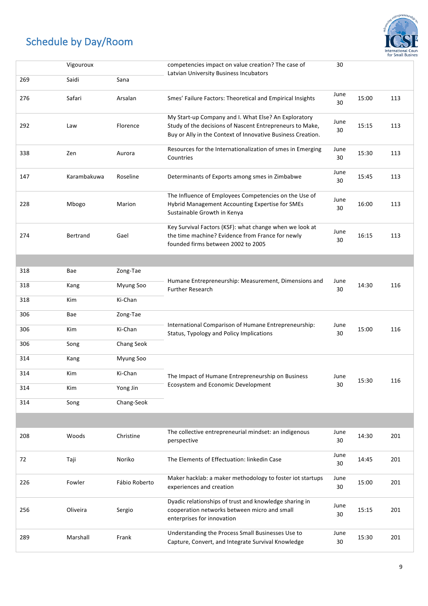

|     |             |               |                                                                                                                                                                                 |            |           | for Small Busine |
|-----|-------------|---------------|---------------------------------------------------------------------------------------------------------------------------------------------------------------------------------|------------|-----------|------------------|
|     | Vigouroux   |               | competencies impact on value creation? The case of<br>Latvian University Business Incubators                                                                                    | 30         |           |                  |
| 269 | Saidi       | Sana          |                                                                                                                                                                                 |            |           |                  |
| 276 | Safari      | Arsalan       | Smes' Failure Factors: Theoretical and Empirical Insights                                                                                                                       | June<br>30 | 15:00     | 113              |
| 292 | Law         | Florence      | My Start-up Company and I. What Else? An Exploratory<br>Study of the decisions of Nascent Entrepreneurs to Make,<br>Buy or Ally in the Context of Innovative Business Creation. | June<br>30 | 15:15     | 113              |
| 338 | Zen         | Aurora        | Resources for the Internationalization of smes in Emerging<br>Countries                                                                                                         | June<br>30 | 15:30     | 113              |
| 147 | Karambakuwa | Roseline      | Determinants of Exports among smes in Zimbabwe                                                                                                                                  | June<br>30 | 15:45     | 113              |
| 228 | Mbogo       | Marion        | The Influence of Employees Competencies on the Use of<br>Hybrid Management Accounting Expertise for SMEs<br>Sustainable Growth in Kenya                                         | June<br>30 | 16:00     | 113              |
| 274 | Bertrand    | Gael          | Key Survival Factors (KSF): what change when we look at<br>the time machine? Evidence from France for newly<br>founded firms between 2002 to 2005                               | June<br>30 | 16:15     | 113              |
|     |             |               |                                                                                                                                                                                 |            |           |                  |
| 318 | Bae         | Zong-Tae      | Humane Entrepreneurship: Measurement, Dimensions and                                                                                                                            |            |           |                  |
| 318 | Kang        | Myung Soo     | <b>Further Research</b>                                                                                                                                                         | June<br>30 | 14:30     | 116              |
| 318 | Kim         | Ki-Chan       |                                                                                                                                                                                 |            |           |                  |
| 306 | Bae         | Zong-Tae      |                                                                                                                                                                                 |            |           |                  |
| 306 | Kim         | Ki-Chan       | International Comparison of Humane Entrepreneurship:<br>Status, Typology and Policy Implications                                                                                | June<br>30 | 15:00     | 116              |
| 306 | Song        | Chang Seok    |                                                                                                                                                                                 |            |           |                  |
| 314 | Kang        | Myung Soo     |                                                                                                                                                                                 |            |           |                  |
| 314 | Kim         | Ki-Chan       | The Impact of Humane Entrepreneurship on Business                                                                                                                               | June       |           |                  |
| 314 | Kim         | Yong Jin      | Ecosystem and Economic Development                                                                                                                                              | 30         | 15:30     | 116              |
| 314 | Song        | Chang-Seok    |                                                                                                                                                                                 |            |           |                  |
|     |             |               |                                                                                                                                                                                 |            |           |                  |
| 208 | Woods       | Christine     | The collective entrepreneurial mindset: an indigenous<br>perspective                                                                                                            | June<br>30 | 14:30     | 201              |
| 72  | Taji        | Noriko        | The Elements of Effectuation: linkedin Case                                                                                                                                     | June<br>30 | 14:45     | 201              |
| 226 | Fowler      | Fábio Roberto | Maker hacklab: a maker methodology to foster iot startups<br>experiences and creation                                                                                           | June<br>30 | 15:00     | 201              |
|     |             |               | Dyadic relationships of trust and knowledge sharing in<br>المموم اموم وموزوم وموسومين                                                                                           | June       | 1 F . 1 F | 201              |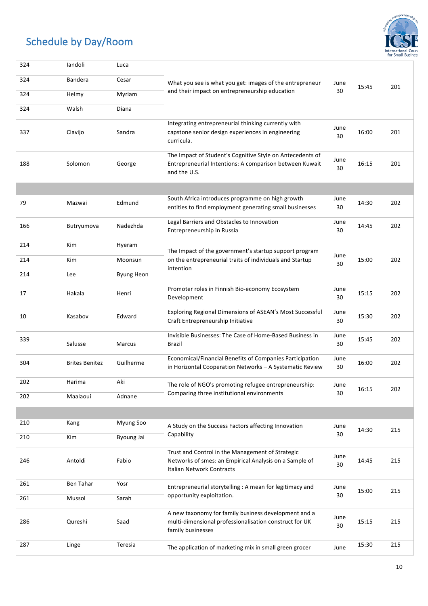

| 324 | landoli               | Luca              |                                                                                                                                         |            |       |     |
|-----|-----------------------|-------------------|-----------------------------------------------------------------------------------------------------------------------------------------|------------|-------|-----|
| 324 | <b>Bandera</b>        | Cesar             | What you see is what you get: images of the entrepreneur                                                                                | June       | 15:45 | 201 |
| 324 | Helmy                 | Myriam            | and their impact on entrepreneurship education                                                                                          | 30         |       |     |
| 324 | Walsh                 | Diana             |                                                                                                                                         |            |       |     |
| 337 | Clavijo               | Sandra            | Integrating entrepreneurial thinking currently with<br>capstone senior design experiences in engineering<br>curricula.                  | June<br>30 | 16:00 | 201 |
| 188 | Solomon               | George            | The Impact of Student's Cognitive Style on Antecedents of<br>Entrepreneurial Intentions: A comparison between Kuwait<br>and the U.S.    | June<br>30 | 16:15 | 201 |
|     |                       |                   |                                                                                                                                         | June       |       |     |
| 79  | Mazwai                | Edmund            | South Africa introduces programme on high growth<br>entities to find employment generating small businesses                             | 30         | 14:30 | 202 |
| 166 | Butryumova            | Nadezhda          | Legal Barriers and Obstacles to Innovation<br>Entrepreneurship in Russia                                                                | June<br>30 | 14:45 | 202 |
| 214 | Kim                   | Hyeram            | The Impact of the government's startup support program                                                                                  |            |       |     |
| 214 | Kim                   | Moonsun           | on the entrepreneurial traits of individuals and Startup                                                                                | June<br>30 | 15:00 | 202 |
| 214 | Lee                   | <b>Byung Heon</b> | intention                                                                                                                               |            |       |     |
| 17  | Hakala                | Henri             | Promoter roles in Finnish Bio-economy Ecosystem<br>Development                                                                          | June<br>30 | 15:15 | 202 |
| 10  | Kasabov               | Edward            | Exploring Regional Dimensions of ASEAN's Most Successful<br>Craft Entrepreneurship Initiative                                           | June<br>30 | 15:30 | 202 |
| 339 | Salusse               | Marcus            | Invisible Businesses: The Case of Home-Based Business in<br><b>Brazil</b>                                                               | June<br>30 | 15:45 | 202 |
| 304 | <b>Brites Benitez</b> | Guilherme         | Economical/Financial Benefits of Companies Participation<br>in Horizontal Cooperation Networks - A Systematic Review                    | June<br>30 | 16:00 | 202 |
| 202 | Harima                | Aki               | The role of NGO's promoting refugee entrepreneurship:                                                                                   | June       |       |     |
| 202 | Maalaoui              | Adnane            | Comparing three institutional environments                                                                                              | 30         | 16:15 | 202 |
|     |                       |                   |                                                                                                                                         |            |       |     |
| 210 | Kang                  | Myung Soo         | A Study on the Success Factors affecting Innovation                                                                                     | June       | 14:30 | 215 |
| 210 | Kim                   | Byoung Jai        | Capability                                                                                                                              | 30         |       |     |
| 246 | Antoldi               | Fabio             | Trust and Control in the Management of Strategic<br>Networks of smes: an Empirical Analysis on a Sample of<br>Italian Network Contracts | June<br>30 | 14:45 | 215 |
| 261 | Ben Tahar             | Yosr              | Entrepreneurial storytelling : A mean for legitimacy and                                                                                | June       | 15:00 | 215 |
| 261 | Mussol                | Sarah             | opportunity exploitation.                                                                                                               | 30         |       |     |
| 286 | Qureshi               | Saad              | A new taxonomy for family business development and a<br>multi-dimensional professionalisation construct for UK<br>family businesses     | June<br>30 | 15:15 | 215 |
| 287 | Linge                 | Teresia           | The application of marketing mix in small green grocer                                                                                  | June       | 15:30 | 215 |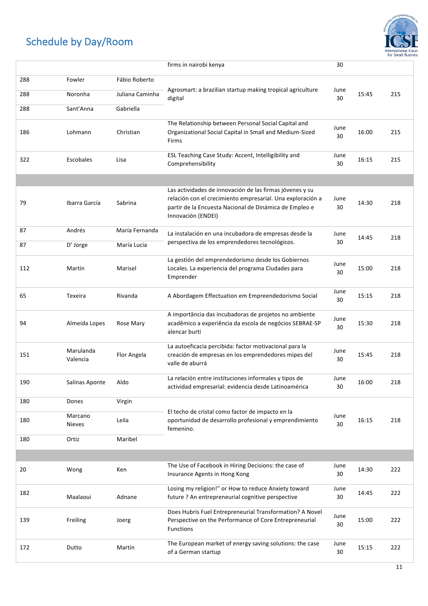

|     |                          |                 | firms in nairobi kenya                                                                                                                                                                                 | 30         |       |     |
|-----|--------------------------|-----------------|--------------------------------------------------------------------------------------------------------------------------------------------------------------------------------------------------------|------------|-------|-----|
| 288 | Fowler                   | Fábio Roberto   |                                                                                                                                                                                                        |            |       |     |
| 288 | Noronha                  | Juliana Caminha | Agrosmart: a brazilian startup making tropical agriculture                                                                                                                                             | June       | 15:45 | 215 |
| 288 | Sant'Anna                | Gabriella       | digital                                                                                                                                                                                                | 30         |       |     |
|     |                          |                 |                                                                                                                                                                                                        |            |       |     |
| 186 | Lohmann                  | Christian       | The Relationship between Personal Social Capital and<br>Organizational Social Capital in Small and Medium-Sized<br>Firms                                                                               | June<br>30 | 16:00 | 215 |
| 322 | Escobales                | Lisa            | ESL Teaching Case Study: Accent, Intelligibility and<br>Comprehensibility                                                                                                                              | June<br>30 | 16:15 | 215 |
|     |                          |                 |                                                                                                                                                                                                        |            |       |     |
| 79  | Ibarra García            | Sabrina         | Las actividades de innovación de las firmas jóvenes y su<br>relación con el crecimiento empresarial. Una exploración a<br>partir de la Encuesta Nacional de Dinámica de Empleo e<br>Innovación (ENDEI) | June<br>30 | 14:30 | 218 |
| 87  | Andrés                   | María Fernanda  | La instalación en una incubadora de empresas desde la                                                                                                                                                  | June       | 14:45 | 218 |
| 87  | D' Jorge                 | María Lucia     | perspectiva de los emprendedores tecnológicos.                                                                                                                                                         | 30         |       |     |
| 112 | Martín                   | Marisel         | La gestión del emprendedorismo desde los Gobiernos<br>Locales. La experiencia del programa Ciudades para<br>Emprender                                                                                  | June<br>30 | 15:00 | 218 |
| 65  | Texeira                  | Rivanda         | A Abordagem Effectuation em Empreendedorismo Social                                                                                                                                                    | June<br>30 | 15:15 | 218 |
| 94  | Almeida Lopes            | Rose Mary       | A importância das incubadoras de projetos no ambiente<br>acadêmico a experiência da escola de negócios SEBRAE-SP<br>alencar burti                                                                      | June<br>30 | 15:30 | 218 |
| 151 | Marulanda<br>Valencia    | Flor Angela     | La autoeficacia percibida: factor motivacional para la<br>creación de empresas en los emprendedores mipes del<br>valle de aburrá                                                                       | June<br>30 | 15:45 | 218 |
| 190 | Salinas Aponte           | Aldo            | La relación entre instituciones informales y tipos de<br>actividad empresarial: evidencia desde Latinoamérica                                                                                          | June<br>30 | 16:00 | 218 |
| 180 | Dones                    | Virgin          |                                                                                                                                                                                                        |            |       |     |
| 180 | Marcano<br><b>Nieves</b> | Leila           | El techo de cristal como factor de impacto en la<br>oportunidad de desarrollo profesional y emprendimiento<br>femenino.                                                                                | June<br>30 | 16:15 | 218 |
| 180 | Ortiz                    | Maribel         |                                                                                                                                                                                                        |            |       |     |
|     |                          |                 |                                                                                                                                                                                                        |            |       |     |
| 20  | Wong                     | Ken             | The Use of Facebook in Hiring Decisions: the case of<br>Insurance Agents in Hong Kong                                                                                                                  | June<br>30 | 14:30 | 222 |
| 182 | Maalaoui                 | Adnane          | Losing my religion!" or How to reduce Anxiety toward<br>future ? An entrepreneurial cognitive perspective                                                                                              | June<br>30 | 14:45 | 222 |
| 139 | Freiling                 | Joerg           | Does Hubris Fuel Entrepreneurial Transformation? A Novel<br>Perspective on the Performance of Core Entrepreneurial<br><b>Functions</b>                                                                 | June<br>30 | 15:00 | 222 |
| 172 | Dutto                    | Martín          | The European market of energy saving solutions: the case<br>of a German startup                                                                                                                        | June<br>30 | 15:15 | 222 |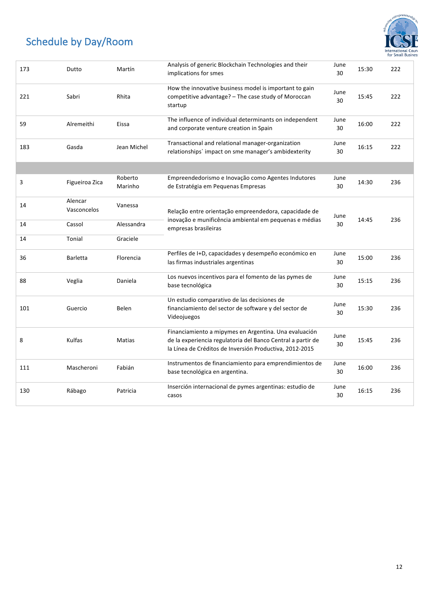

| 173 | Dutto                  | Martín             | Analysis of generic Blockchain Technologies and their<br>implications for smes                                                                                                  | June<br>30 | 15:30 | 222 |  |
|-----|------------------------|--------------------|---------------------------------------------------------------------------------------------------------------------------------------------------------------------------------|------------|-------|-----|--|
| 221 | Sabri                  | Rhita              | How the innovative business model is important to gain<br>competitive advantage? - The case study of Moroccan<br>startup                                                        | June<br>30 | 15:45 | 222 |  |
| 59  | Alremeithi             | Eissa              | The influence of individual determinants on independent<br>and corporate venture creation in Spain                                                                              | June<br>30 | 16:00 | 222 |  |
| 183 | Gasda                  | Jean Michel        | Transactional and relational manager-organization<br>relationships' impact on sme manager's ambidexterity                                                                       | June<br>30 | 16:15 | 222 |  |
|     |                        |                    |                                                                                                                                                                                 |            |       |     |  |
| 3   | Figueiroa Zica         | Roberto<br>Marinho | Empreendedorismo e Inovação como Agentes Indutores<br>de Estratégia em Pequenas Empresas                                                                                        | June<br>30 | 14:30 | 236 |  |
| 14  | Alencar<br>Vasconcelos | Vanessa            | Relação entre orientação empreendedora, capacidade de<br>inovação e munificência ambiental em pequenas e médias<br>empresas brasileiras                                         |            | June  |     |  |
| 14  | Cassol                 | Alessandra         |                                                                                                                                                                                 | 30         | 14:45 | 236 |  |
| 14  | Tonial                 | Graciele           |                                                                                                                                                                                 |            |       |     |  |
| 36  | <b>Barletta</b>        | Florencia          | Perfiles de I+D, capacidades y desempeño económico en<br>las firmas industriales argentinas                                                                                     | June<br>30 | 15:00 | 236 |  |
| 88  | Veglia                 | Daniela            | Los nuevos incentivos para el fomento de las pymes de<br>base tecnológica                                                                                                       | June<br>30 | 15:15 | 236 |  |
| 101 | Guercio                | Belen              | Un estudio comparativo de las decisiones de<br>financiamiento del sector de software y del sector de<br>Videojuegos                                                             | June<br>30 | 15:30 | 236 |  |
| 8   | Kulfas                 | Matias             | Financiamiento a mipymes en Argentina. Una evaluación<br>de la experiencia regulatoria del Banco Central a partir de<br>la Línea de Créditos de Inversión Productiva, 2012-2015 | June<br>30 | 15:45 | 236 |  |
| 111 | Mascheroni             | Fabián             | Instrumentos de financiamiento para emprendimientos de<br>base tecnológica en argentina.                                                                                        | June<br>30 | 16:00 | 236 |  |
| 130 | Rábago                 | Patricia           | Inserción internacional de pymes argentinas: estudio de<br>casos                                                                                                                | June<br>30 | 16:15 | 236 |  |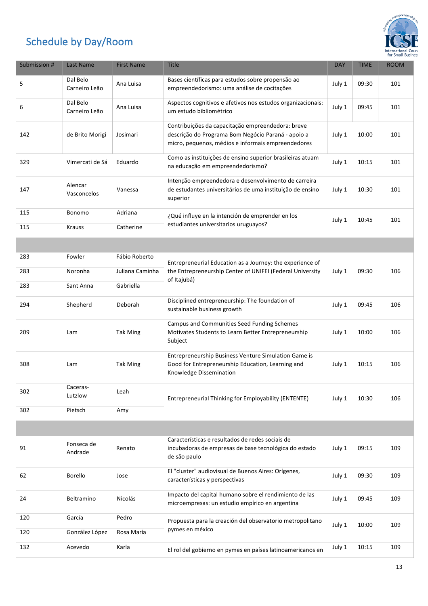

| Submission # | Last Name                 | <b>First Name</b>    | Title                                                                                                                                                         | <b>DAY</b> | <b>TIME</b> | <b>ROOM</b> |
|--------------|---------------------------|----------------------|---------------------------------------------------------------------------------------------------------------------------------------------------------------|------------|-------------|-------------|
| 5            | Dal Belo<br>Carneiro Leão | Ana Luisa            | Bases científicas para estudos sobre propensão ao<br>empreendedorismo: uma análise de cocitações                                                              | July 1     | 09:30       | 101         |
| 6            | Dal Belo<br>Carneiro Leão | Ana Luisa            | Aspectos cognitivos e afetivos nos estudos organizacionais:<br>um estudo bibliométrico                                                                        | July 1     | 09:45       | 101         |
| 142          | de Brito Morigi           | Josimari             | Contribuições da capacitação empreendedora: breve<br>descrição do Programa Bom Negócio Paraná - apoio a<br>micro, pequenos, médios e informais empreendedores | July 1     | 10:00       | 101         |
| 329          | Vimercati de Sá           | Eduardo              | Como as instituições de ensino superior brasileiras atuam<br>na educação em empreendedorismo?                                                                 | July 1     | 10:15       | 101         |
| 147          | Alencar<br>Vasconcelos    | Vanessa              | Intenção empreendedora e desenvolvimento de carreira<br>de estudantes universitários de uma instituição de ensino<br>superior                                 | July 1     | 10:30       | 101         |
| 115<br>115   | Bonomo<br><b>Krauss</b>   | Adriana<br>Catherine | ¿Qué influye en la intención de emprender en los<br>estudiantes universitarios uruguayos?                                                                     | July 1     | 10:45       | 101         |
|              |                           |                      |                                                                                                                                                               |            |             |             |
| 283          | Fowler                    | Fábio Roberto        | Entrepreneurial Education as a Journey: the experience of                                                                                                     |            |             |             |
| 283          | Noronha                   | Juliana Caminha      | the Entrepreneurship Center of UNIFEI (Federal University                                                                                                     | July 1     | 09:30       | 106         |
| 283          | Sant Anna                 | Gabriella            | of Itajubá)                                                                                                                                                   |            |             |             |
| 294          | Shepherd                  | Deborah              | Disciplined entrepreneurship: The foundation of<br>sustainable business growth                                                                                | July 1     | 09:45       | 106         |
| 209          | Lam                       | <b>Tak Ming</b>      | Campus and Communities Seed Funding Schemes<br>Motivates Students to Learn Better Entrepreneurship<br>Subject                                                 | July 1     | 10:00       | 106         |
| 308          | Lam                       | <b>Tak Ming</b>      | Entrepreneurship Business Venture Simulation Game is<br>Good for Entrepreneurship Education, Learning and<br>Knowledge Dissemination                          | July 1     | 10:15       | 106         |
| 302          | Caceras-<br>Lutzlow       | Leah                 | Entrepreneurial Thinking for Employability (ENTENTE)                                                                                                          | July 1     | 10:30       | 106         |
| 302          | Pietsch                   | Amy                  |                                                                                                                                                               |            |             |             |
|              |                           |                      |                                                                                                                                                               |            |             |             |
| 91           | Fonseca de<br>Andrade     | Renato               | Características e resultados de redes sociais de<br>incubadoras de empresas de base tecnológica do estado<br>de são paulo                                     | July 1     | 09:15       | 109         |
| 62           | <b>Borello</b>            | Jose                 | El "cluster" audiovisual de Buenos Aires: Orígenes,<br>características y perspectivas                                                                         | July 1     | 09:30       | 109         |
| 24           | Beltramino                | Nicolás              | Impacto del capital humano sobre el rendimiento de las<br>microempresas: un estudio empírico en argentina                                                     | July 1     | 09:45       | 109         |
| 120          | García                    | Pedro                | Propuesta para la creación del observatorio metropolitano                                                                                                     |            | 10:00       | 109         |
| 120          | González López            | Rosa María           | pymes en méxico                                                                                                                                               | July 1     |             |             |
| 132          | Acevedo                   | Karla                | El rol del gobierno en pymes en países latinoamericanos en                                                                                                    | July 1     | 10:15       | 109         |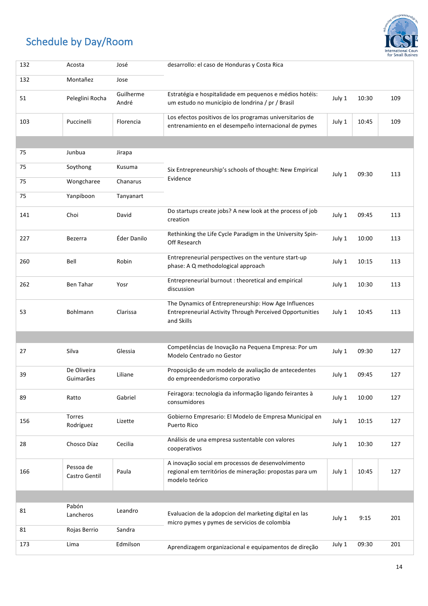

| 132 | Acosta                     | José               | desarrollo: el caso de Honduras y Costa Rica                                                                                          |        |       |     |
|-----|----------------------------|--------------------|---------------------------------------------------------------------------------------------------------------------------------------|--------|-------|-----|
| 132 | Montañez                   | Jose               |                                                                                                                                       |        |       |     |
| 51  | Peleglini Rocha            | Guilherme<br>André | Estratégia e hospitalidade em pequenos e médios hotéis:<br>um estudo no município de londrina / pr / Brasil                           | July 1 | 10:30 | 109 |
| 103 | Puccinelli                 | Florencia          | Los efectos positivos de los programas universitarios de<br>entrenamiento en el desempeño internacional de pymes                      | July 1 | 10:45 | 109 |
|     |                            |                    |                                                                                                                                       |        |       |     |
| 75  | Junbua                     | Jirapa             |                                                                                                                                       |        |       |     |
| 75  | Soythong                   | Kusuma             | Six Entrepreneurship's schools of thought: New Empirical                                                                              | July 1 | 09:30 | 113 |
| 75  | Wongcharee                 | Chanarus           | Evidence                                                                                                                              |        |       |     |
| 75  | Yanpiboon                  | Tanyanart          |                                                                                                                                       |        |       |     |
| 141 | Choi                       | David              | Do startups create jobs? A new look at the process of job<br>creation                                                                 | July 1 | 09:45 | 113 |
| 227 | Bezerra                    | Éder Danilo        | Rethinking the Life Cycle Paradigm in the University Spin-<br>Off Research                                                            | July 1 | 10:00 | 113 |
| 260 | Bell                       | Robin              | Entrepreneurial perspectives on the venture start-up<br>phase: A Q methodological approach                                            | July 1 | 10:15 | 113 |
| 262 | Ben Tahar                  | Yosr               | Entrepreneurial burnout : theoretical and empirical<br>discussion                                                                     | July 1 | 10:30 | 113 |
| 53  | Bohlmann                   | Clarissa           | The Dynamics of Entrepreneurship: How Age Influences<br><b>Entrepreneurial Activity Through Perceived Opportunities</b><br>and Skills | July 1 | 10:45 | 113 |
|     |                            |                    |                                                                                                                                       |        |       |     |
| 27  | Silva                      | Glessia            | Competências de Inovação na Pequena Empresa: Por um<br>Modelo Centrado no Gestor                                                      | July 1 | 09:30 | 127 |
| 39  | De Oliveira<br>Guimarães   | Liliane            | Proposição de um modelo de avaliação de antecedentes<br>do empreendedorismo corporativo                                               | July 1 | 09:45 | 127 |
| 89  | Ratto                      | Gabriel            | Feiragora: tecnologia da informação ligando feirantes à<br>consumidores                                                               | July 1 | 10:00 | 127 |
| 156 | Torres<br>Rodríguez        | Lizette            | Gobierno Empresario: El Modelo de Empresa Municipal en<br>Puerto Rico                                                                 | July 1 | 10:15 | 127 |
| 28  | Chosco Díaz                | Cecilia            | Análisis de una empresa sustentable con valores<br>cooperativos                                                                       | July 1 | 10:30 | 127 |
| 166 | Pessoa de<br>Castro Gentil | Paula              | A inovação social em processos de desenvolvimento<br>regional em territórios de mineração: propostas para um<br>modelo teórico        | July 1 | 10:45 | 127 |
|     |                            |                    |                                                                                                                                       |        |       |     |
| 81  | Pabón<br>Lancheros         | Leandro            | Evaluacion de la adopcion del marketing digital en las<br>micro pymes y pymes de servicios de colombia                                | July 1 | 9:15  | 201 |
| 81  | Rojas Berrio               | Sandra             |                                                                                                                                       |        |       |     |
| 173 | Lima                       | Edmilson           | Aprendizagem organizacional e equipamentos de direção                                                                                 | July 1 | 09:30 | 201 |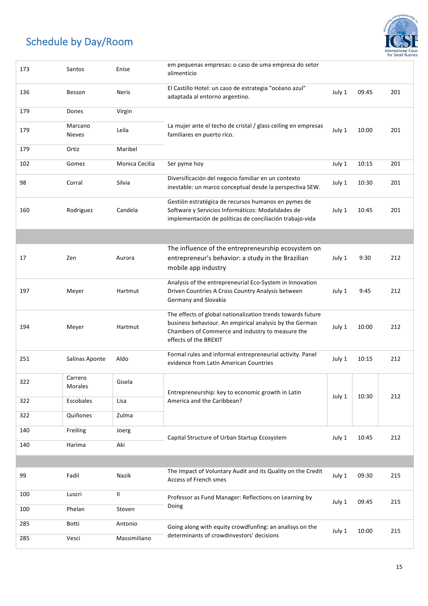

| 173 | Santos                   | Enise          | em pequenas empresas: o caso de uma empresa do setor<br>alimentício                                                                                                                                 |        |       |     |
|-----|--------------------------|----------------|-----------------------------------------------------------------------------------------------------------------------------------------------------------------------------------------------------|--------|-------|-----|
| 136 | Besson                   | <b>Neris</b>   | El Castillo Hotel: un caso de estrategia "océano azul"<br>adaptada al entorno argentino.                                                                                                            | July 1 | 09:45 | 201 |
| 179 | Dones                    | Virgin         |                                                                                                                                                                                                     |        |       |     |
| 179 | Marcano<br><b>Nieves</b> | Leila          | La mujer ante el techo de cristal / glass ceiling en empresas<br>familiares en puerto rico.                                                                                                         | July 1 | 10:00 | 201 |
| 179 | Ortiz                    | Maribel        |                                                                                                                                                                                                     |        |       |     |
| 102 | Gomez                    | Monica Cecilia | Ser pyme hoy                                                                                                                                                                                        | July 1 | 10:15 | 201 |
| 98  | Corral                   | Silvia         | Diversificación del negocio familiar en un contexto<br>inestable: un marco conceptual desde la perspectiva SEW.                                                                                     | July 1 | 10:30 | 201 |
| 160 | Rodriguez                | Candela        | Gestión estratégica de recursos humanos en pymes de<br>Software y Servicios Informáticos: Modalidades de<br>implementación de políticas de conciliación trabajo-vida                                | July 1 | 10:45 | 201 |
|     |                          |                |                                                                                                                                                                                                     |        |       |     |
| 17  | Zen                      | Aurora         | The influence of the entrepreneurship ecosystem on<br>entrepreneur's behavior: a study in the Brazilian<br>mobile app industry                                                                      | July 1 | 9:30  | 212 |
| 197 | Meyer                    | Hartmut        | Analysis of the entrepreneurial Eco-System in Innovation<br>Driven Countries A Cross Country Analysis between<br>Germany and Slovakia                                                               | July 1 | 9:45  | 212 |
| 194 | Meyer                    | Hartmut        | The effects of global nationalization trends towards future<br>business behaviour. An empirical analysis by the German<br>Chambers of Commerce and industry to measure the<br>effects of the BREXIT | July 1 | 10:00 | 212 |
| 251 | Salinas Aponte           | Aldo           | Formal rules and informal entrepreneurial activity. Panel<br>evidence from Latin American Countries                                                                                                 | July 1 | 10:15 | 212 |
| 322 | Carrero<br>Morales       | Gisela         | Entrepreneurship: key to economic growth in Latin                                                                                                                                                   |        |       |     |
| 322 | Escobales                | Lisa           | America and the Caribbean?                                                                                                                                                                          | July 1 | 10:30 | 212 |
| 322 | Quiñones                 | Zulma          |                                                                                                                                                                                                     |        |       |     |
| 140 | Freiling                 | Joerg          | Capital Structure of Urban Startup Ecosystem                                                                                                                                                        | July 1 | 10:45 | 212 |
| 140 | Harima                   | Aki            |                                                                                                                                                                                                     |        |       |     |
|     |                          |                |                                                                                                                                                                                                     |        |       |     |
| 99  | Fadil                    | Nazik          | The Impact of Voluntary Audit and its Quality on the Credit<br>Access of French smes                                                                                                                | July 1 | 09:30 | 215 |
| 100 | Luscri                   | Ш.             | Professor as Fund Manager: Reflections on Learning by                                                                                                                                               | July 1 | 09:45 | 215 |
| 100 | Phelan                   | Steven         | Doing                                                                                                                                                                                               |        |       |     |
| 285 | Botti                    | Antonio        | Going along with equity crowdfunfing: an analisys on the                                                                                                                                            | July 1 | 10:00 | 215 |
| 285 | Vesci                    | Massimiliano   | determinants of crowdinvestors' decisions                                                                                                                                                           |        |       |     |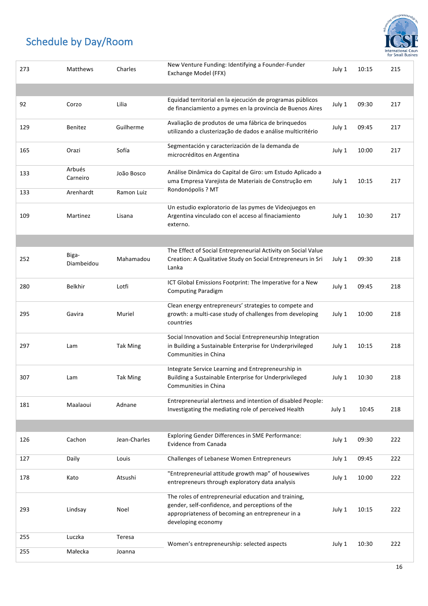

| 273 | Matthews            | Charles         | New Venture Funding: Identifying a Founder-Funder<br>Exchange Model (FFX)                                                                                                         |        | 10:15 | 215 |
|-----|---------------------|-----------------|-----------------------------------------------------------------------------------------------------------------------------------------------------------------------------------|--------|-------|-----|
|     |                     |                 |                                                                                                                                                                                   |        |       |     |
| 92  | Corzo               | Lilia           | Equidad territorial en la ejecución de programas públicos<br>de financiamiento a pymes en la provincia de Buenos Aires                                                            | July 1 | 09:30 | 217 |
| 129 | Benitez             | Guilherme       | Avaliação de produtos de uma fábrica de brinquedos<br>utilizando a clusterização de dados e análise multicritério                                                                 | July 1 | 09:45 | 217 |
| 165 | Orazi               | Sofía           | Segmentación y caracterización de la demanda de<br>microcréditos en Argentina                                                                                                     | July 1 | 10:00 | 217 |
| 133 | Arbués<br>Carneiro  | João Bosco      | Análise Dinâmica do Capital de Giro: um Estudo Aplicado a<br>uma Empresa Varejista de Materiais de Construção em                                                                  | July 1 | 10:15 | 217 |
| 133 | Arenhardt           | Ramon Luiz      | Rondonópolis ? MT                                                                                                                                                                 |        |       |     |
| 109 | Martinez            | Lisana          | Un estudio exploratorio de las pymes de Videojuegos en<br>Argentina vinculado con el acceso al finaciamiento<br>externo.                                                          | July 1 | 10:30 | 217 |
|     |                     |                 |                                                                                                                                                                                   |        |       |     |
| 252 | Biga-<br>Diambeidou | Mahamadou       | The Effect of Social Entrepreneurial Activity on Social Value<br>Creation: A Qualitative Study on Social Entrepreneurs in Sri<br>Lanka                                            | July 1 | 09:30 | 218 |
| 280 | <b>Belkhir</b>      | Lotfi           | ICT Global Emissions Footprint: The Imperative for a New<br><b>Computing Paradigm</b>                                                                                             | July 1 | 09:45 | 218 |
| 295 | Gavira              | Muriel          | Clean energy entrepreneurs' strategies to compete and<br>growth: a multi-case study of challenges from developing<br>countries                                                    | July 1 | 10:00 | 218 |
| 297 | Lam                 | <b>Tak Ming</b> | Social Innovation and Social Entrepreneurship Integration<br>in Building a Sustainable Enterprise for Underprivileged<br>Communities in China                                     | July 1 | 10:15 | 218 |
| 307 | Lam                 | <b>Tak Ming</b> | Integrate Service Learning and Entrepreneurship in<br>Building a Sustainable Enterprise for Underprivileged<br>Communities in China                                               | July 1 | 10:30 | 218 |
| 181 | Maalaoui            | Adnane          | Entrepreneurial alertness and intention of disabled People:<br>Investigating the mediating role of perceived Health                                                               | July 1 | 10:45 | 218 |
|     |                     |                 |                                                                                                                                                                                   |        |       |     |
| 126 | Cachon              | Jean-Charles    | <b>Exploring Gender Differences in SME Performance:</b><br>Evidence from Canada                                                                                                   | July 1 | 09:30 | 222 |
| 127 | Daily               | Louis           | Challenges of Lebanese Women Entrepreneurs                                                                                                                                        | July 1 | 09:45 | 222 |
| 178 | Kato                | Atsushi         | "Entrepreneurial attitude growth map" of housewives<br>entrepreneurs through exploratory data analysis                                                                            | July 1 | 10:00 | 222 |
| 293 | Lindsay             | Noel            | The roles of entrepreneurial education and training,<br>gender, self-confidence, and perceptions of the<br>appropriateness of becoming an entrepreneur in a<br>developing economy | July 1 | 10:15 | 222 |
| 255 | Luczka              | Teresa          |                                                                                                                                                                                   |        | 10:30 | 222 |
| 255 | Małecka             | Joanna          | Women's entrepreneurship: selected aspects                                                                                                                                        | July 1 |       |     |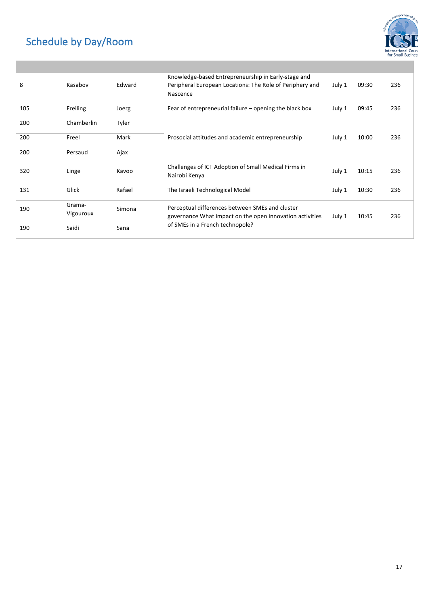

| 8   | Kasabov             | Edward | Knowledge-based Entrepreneurship in Early-stage and<br>Peripheral European Locations: The Role of Periphery and<br>Nascence | July 1 | 09:30 | 236 |
|-----|---------------------|--------|-----------------------------------------------------------------------------------------------------------------------------|--------|-------|-----|
| 105 | Freiling            | Joerg  | Fear of entrepreneurial failure $-$ opening the black box                                                                   | July 1 | 09:45 | 236 |
| 200 | Chamberlin          | Tyler  |                                                                                                                             |        |       |     |
| 200 | Freel               | Mark   | Prosocial attitudes and academic entrepreneurship                                                                           | July 1 | 10:00 | 236 |
| 200 | Persaud             | Ajax   |                                                                                                                             |        |       |     |
| 320 | Linge               | Kavoo  | Challenges of ICT Adoption of Small Medical Firms in<br>Nairobi Kenya                                                       | July 1 | 10:15 | 236 |
| 131 | Glick               | Rafael | The Israeli Technological Model                                                                                             | July 1 | 10:30 | 236 |
| 190 | Grama-<br>Vigouroux | Simona | Perceptual differences between SMEs and cluster<br>governance What impact on the open innovation activities                 | July 1 | 10:45 | 236 |
| 190 | Saidi               | Sana   | of SMEs in a French technopole?                                                                                             |        |       |     |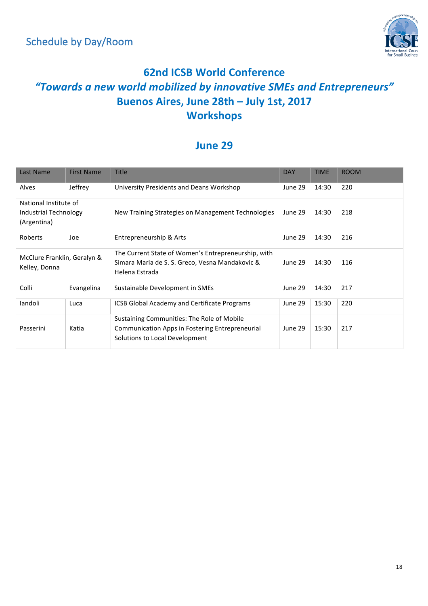

#### **62nd ICSB World Conference** *"Towards a new world mobilized by innovative SMEs and Entrepreneurs"* **Buenos Aires, June 28th – July 1st, 2017 Workshops**

#### **June 29**

| Last Name                                                     | <b>First Name</b> | <b>Title</b>                                                                                                                           | <b>DAY</b> | <b>TIME</b> | <b>ROOM</b> |
|---------------------------------------------------------------|-------------------|----------------------------------------------------------------------------------------------------------------------------------------|------------|-------------|-------------|
| Alves                                                         | Jeffrey           | University Presidents and Deans Workshop                                                                                               | June 29    | 14:30       | 220         |
| National Institute of<br>Industrial Technology<br>(Argentina) |                   | New Training Strategies on Management Technologies                                                                                     | June 29    | 14:30       | 218         |
| Roberts                                                       | Joe               | Entrepreneurship & Arts                                                                                                                | June 29    | 14:30       | 216         |
| McClure Franklin, Geralyn &<br>Kelley, Donna                  |                   | The Current State of Women's Entrepreneurship, with<br>Simara Maria de S. S. Greco, Vesna Mandakovic &<br>Helena Estrada               | June 29    | 14:30       | 116         |
| Colli                                                         | Evangelina        | Sustainable Development in SMEs                                                                                                        | June 29    | 14:30       | 217         |
| landoli                                                       | Luca              | <b>ICSB Global Academy and Certificate Programs</b>                                                                                    | June 29    | 15:30       | 220         |
| Passerini                                                     | Katia             | Sustaining Communities: The Role of Mobile<br><b>Communication Apps in Fostering Entrepreneurial</b><br>Solutions to Local Development | June 29    | 15:30       | 217         |